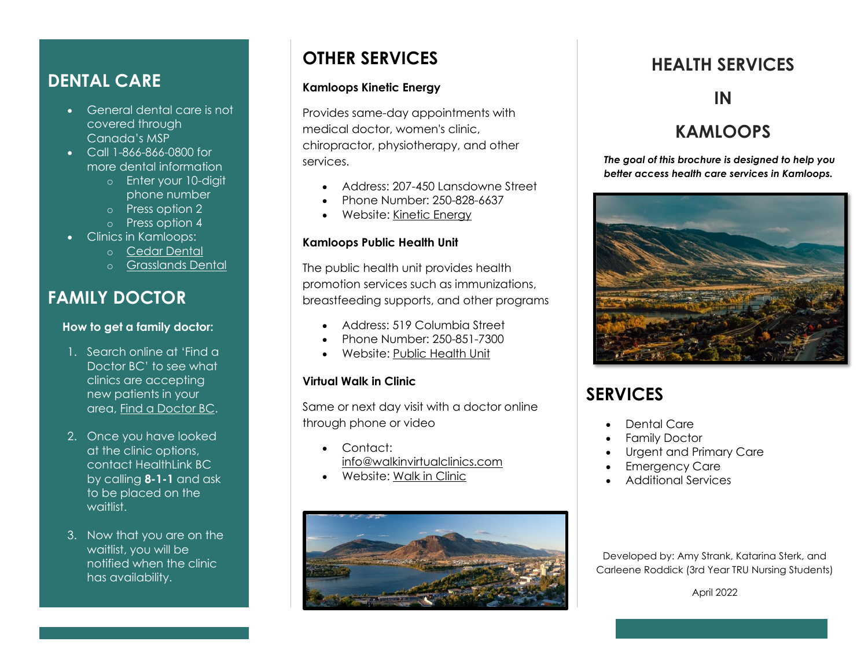### **DENTAL CARE**

- General dental care is not covered through Canada's MSP
- Call 1-866-866-0800 for more dental information
	- o Enter your 10-digit phone number
	- o Press option 2
	- o Press option 4
- Clinics in Kamloops:
	- o [Cedar Dental](https://www.cedardental.ca/site/home)
	- o [Grasslands Dental](https://www.grasslandsdentalcare.ca/site/home?_vsrefdom=p.403.c.2771&gclid=Cj0KCQiA09eQBhCxARIsAAYRiyms2qFmOvcPAwUW2UVQpwJWzFAm0BKnpNxfKvAaZYXNzAArhPrYg2UaAk7vEALw_wcB&gclsrc=aw.ds)

### **FAMILY DOCTOR**

#### **How to get a family doctor:**

- 1. Search online at 'Find a Doctor BC' to see what clinics are accepting new patients in your area, [Find a Doctor BC.](https://www.findadoctorbc.ca/)
- 2. Once you have looked at the clinic options, contact HealthLink BC by calling **8-1-1** and ask to be placed on the waitlist.
- 3. Now that you are on the waitlist, you will be notified when the clinic has availability.

# **OTHER SERVICES**

### **Kamloops Kinetic Energy**

Provides same-day appointments with medical doctor, women's clinic, chiropractor, physiotherapy, and other services.

- Address: 207-450 Lansdowne Street
- Phone Number: 250-828-6637
- Website: [Kinetic Energy](https://www.kamloopskineticenergy.com/walk-in-clinic)

### **Kamloops Public Health Unit**

The public health unit provides health promotion services such as immunizations, breastfeeding supports, and other programs

- Address: 519 Columbia Street
- Phone Number: 250-851-7300
- Website: [Public Health Unit](https://www.interiorhealth.ca/locations/kamloops-public-health-unit)

#### **Virtual Walk in Clinic**

Same or next day visit with a doctor online through phone or video

- Contact: [info@walkinvirtualclinics.com](mailto:info@walkinvirtualclinics.com)
- Website: [Walk in Clinic](https://www.walkinvirtualclinics.com/)



## **HEALTH SERVICES**

### **IN**

## **KAMLOOPS**

*The goal of this brochure is designed to help you better access health care services in Kamloops.*



# **SERVICES**

- Dental Care
- Family Doctor
- Urgent and Primary Care
- **Emergency Care**
- Additional Services

Developed by: Amy Strank, Katarina Sterk, and Carleene Roddick (3rd Year TRU Nursing Students)

April 2022